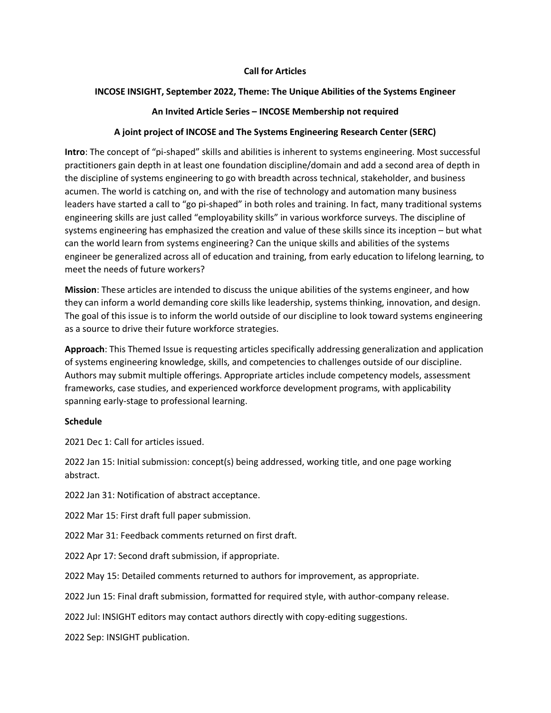### **Call for Articles**

#### **INCOSE INSIGHT, September 2022, Theme: The Unique Abilities of the Systems Engineer**

#### **An Invited Article Series – INCOSE Membership not required**

#### **A joint project of INCOSE and The Systems Engineering Research Center (SERC)**

**Intro**: The concept of "pi-shaped" skills and abilities is inherent to systems engineering. Most successful practitioners gain depth in at least one foundation discipline/domain and add a second area of depth in the discipline of systems engineering to go with breadth across technical, stakeholder, and business acumen. The world is catching on, and with the rise of technology and automation many business leaders have started a call to "go pi-shaped" in both roles and training. In fact, many traditional systems engineering skills are just called "employability skills" in various workforce surveys. The discipline of systems engineering has emphasized the creation and value of these skills since its inception – but what can the world learn from systems engineering? Can the unique skills and abilities of the systems engineer be generalized across all of education and training, from early education to lifelong learning, to meet the needs of future workers?

**Mission**: These articles are intended to discuss the unique abilities of the systems engineer, and how they can inform a world demanding core skills like leadership, systems thinking, innovation, and design. The goal of this issue is to inform the world outside of our discipline to look toward systems engineering as a source to drive their future workforce strategies.

**Approach**: This Themed Issue is requesting articles specifically addressing generalization and application of systems engineering knowledge, skills, and competencies to challenges outside of our discipline. Authors may submit multiple offerings. Appropriate articles include competency models, assessment frameworks, case studies, and experienced workforce development programs, with applicability spanning early-stage to professional learning.

#### **Schedule**

2021 Dec 1: Call for articles issued.

2022 Jan 15: Initial submission: concept(s) being addressed, working title, and one page working abstract.

2022 Jan 31: Notification of abstract acceptance.

2022 Mar 15: First draft full paper submission.

2022 Mar 31: Feedback comments returned on first draft.

2022 Apr 17: Second draft submission, if appropriate.

2022 May 15: Detailed comments returned to authors for improvement, as appropriate.

2022 Jun 15: Final draft submission, formatted for required style, with author-company release.

2022 Jul: INSIGHT editors may contact authors directly with copy-editing suggestions.

2022 Sep: INSIGHT publication.